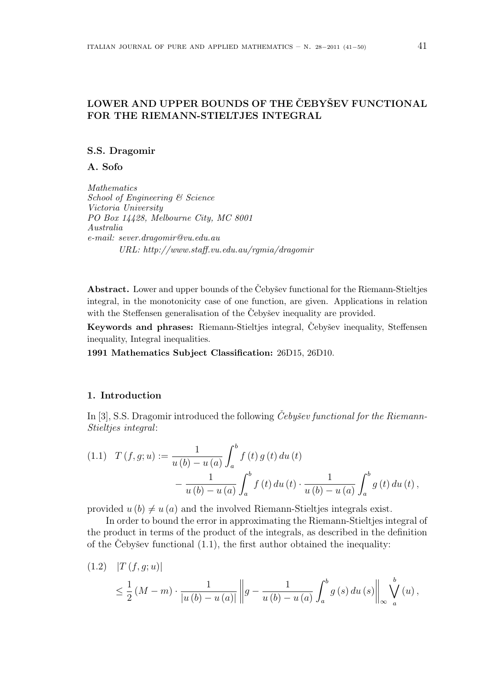# LOWER AND UPPER BOUNDS OF THE CEBYSEV FUNCTIONAL FOR THE RIEMANN-STIELTJES INTEGRAL

#### S.S. Dragomir

A. Sofo

Mathematics School of Engineering & Science Victoria University PO Box 14428, Melbourne City, MC 8001 Australia e-mail: sever.dragomir@vu.edu.au URL: http://www.staff.vu.edu.au/rgmia/dragomir

Abstract. Lower and upper bounds of the Cebysev functional for the Riemann-Stieltjes integral, in the monotonicity case of one function, are given. Applications in relation with the Steffensen generalisation of the Cebysev inequality are provided.

Keywords and phrases: Riemann-Stieltjes integral, Čebyšev inequality, Steffensen inequality, Integral inequalities.

1991 Mathematics Subject Classification: 26D15, 26D10.

#### 1. Introduction

In [3], S.S. Dragomir introduced the following *Čebyšev functional for the Riemann*-Stieltjes integral:

(1.1) 
$$
T(f,g;u) := \frac{1}{u(b) - u(a)} \int_a^b f(t) g(t) du(t) - \frac{1}{u(b) - u(a)} \int_a^b f(t) du(t) \cdot \frac{1}{u(b) - u(a)} \int_a^b g(t) du(t),
$$

provided  $u(b) \neq u(a)$  and the involved Riemann-Stieltjes integrals exist.

In order to bound the error in approximating the Riemann-Stieltjes integral of the product in terms of the product of the integrals, as described in the definition of the Čebyšev functional  $(1.1)$ , the first author obtained the inequality:

$$
(1.2) \quad |T(f, g; u)|
$$
  

$$
\leq \frac{1}{2} (M - m) \cdot \frac{1}{|u(b) - u(a)|} \|g - \frac{1}{u(b) - u(a)} \int_{a}^{b} g(s) du(s) \| \int_{\infty}^{b} \left\| \sqrt{u(x)} \right\|_{\infty} ds.
$$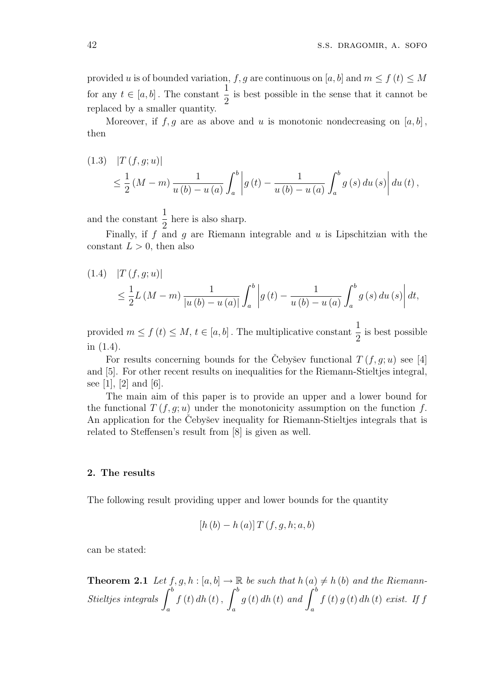provided u is of bounded variation, f, g are continuous on [a, b] and  $m \le f(t) \le M$ for any  $t \in [a, b]$ . The constant  $\frac{1}{2}$ 2 is best possible in the sense that it cannot be replaced by a smaller quantity.

Moreover, if  $f, g$  are as above and u is monotonic nondecreasing on  $[a, b]$ , then

 $(1.3)$  |T  $(f, q; u)$ | ≤ 1 2  $(M-m)$ 1  $u(b) - u(a)$  $\overline{c}$ a  $\left| g\left( t\right) -\right|$ 1  $u(b) - u(a)$  $\overline{c}$ a  $g(s) du(s)$  $\left| du\left( t\right) ,\right.$ 

and the constant  $\frac{1}{2}$ 2 here is also sharp.

Finally, if  $f$  and  $g$  are Riemann integrable and  $u$  is Lipschitzian with the constant  $L > 0$ , then also

(1.4) 
$$
|T(f, g; u)|
$$
  
\n $\leq \frac{1}{2}L(M - m)\frac{1}{|u(b) - u(a)|}\int_a^b |g(t) - \frac{1}{u(b) - u(a)}\int_a^b g(s) du(s)| dt,$ 

provided  $m \le f(t) \le M$ ,  $t \in [a, b]$ . The multiplicative constant  $\frac{1}{2}$ 2 is best possible in (1.4).

For results concerning bounds for the Cebysev functional  $T(f, g; u)$  see [4] and [5]. For other recent results on inequalities for the Riemann-Stieltjes integral, see [1], [2] and [6].

The main aim of this paper is to provide an upper and a lower bound for the functional  $T(f, q; u)$  under the monotonicity assumption on the function f. An application for the Cebysev inequality for Riemann-Stieltjes integrals that is related to Steffensen's result from [8] is given as well.

#### 2. The results

The following result providing upper and lower bounds for the quantity

$$
[h (b) - h (a)] T (f, g, h; a, b)
$$

can be stated:

**Theorem 2.1** Let  $f, g, h : [a, b] \to \mathbb{R}$  be such that  $h(a) \neq h(b)$  and the Riemann- $\sum_{\text{Stieltjes integrals}}^{P} \int_{0}^{b}$ a  $f(t) dh(t),$ a  $g(t)$  dh (t) and  $\int^b$ a  $f(t) g(t) dh(t) e xist.$  If f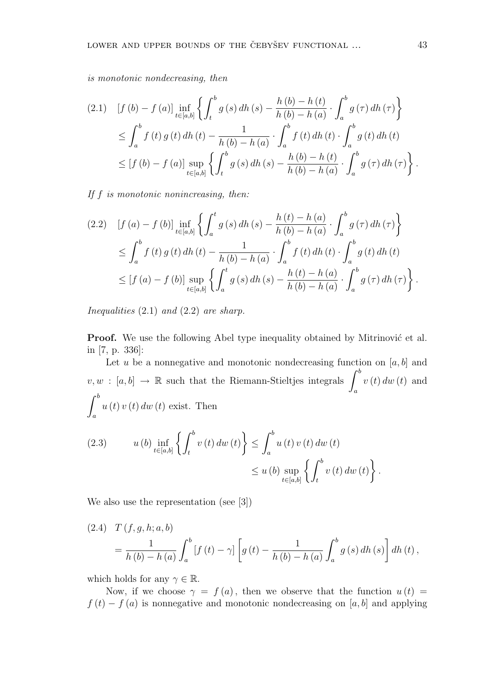is monotonic nondecreasing, then

$$
(2.1) \quad [f (b) - f (a)] \inf_{t \in [a,b]} \left\{ \int_t^b g(s) \, dh \left(s\right) - \frac{h (b) - h (t)}{h (b) - h (a)} \cdot \int_a^b g(\tau) \, dh \left(\tau\right) \right\}
$$
\n
$$
\leq \int_a^b f(t) \, g(t) \, dh \left(t\right) - \frac{1}{h (b) - h (a)} \cdot \int_a^b f(t) \, dh \left(t\right) \cdot \int_a^b g(t) \, dh \left(t\right)
$$
\n
$$
\leq [f (b) - f (a)] \sup_{t \in [a,b]} \left\{ \int_t^b g(s) \, dh \left(s\right) - \frac{h (b) - h (t)}{h (b) - h (a)} \cdot \int_a^b g(\tau) \, dh \left(\tau\right) \right\}.
$$

If f is monotonic nonincreasing, then:

$$
(2.2) \quad [f (a) - f (b)] \inf_{t \in [a,b]} \left\{ \int_a^t g(s) \, dh \left(s\right) - \frac{h(t) - h(a)}{h(b) - h(a)} \cdot \int_a^b g(\tau) \, dh \left(\tau\right) \right\}
$$
\n
$$
\leq \int_a^b f(t) \, g(t) \, dh \left(t\right) - \frac{1}{h(b) - h(a)} \cdot \int_a^b f(t) \, dh \left(t\right) \cdot \int_a^b g(t) \, dh \left(t\right)
$$
\n
$$
\leq [f (a) - f (b)] \sup_{t \in [a,b]} \left\{ \int_a^t g(s) \, dh \left(s\right) - \frac{h(t) - h(a)}{h(b) - h(a)} \cdot \int_a^b g(\tau) \, dh \left(\tau\right) \right\}.
$$

Inequalities  $(2.1)$  and  $(2.2)$  are sharp.

**Proof.** We use the following Abel type inequality obtained by Mitrinović et al. in [7, p. 336]:

Let u be a nonnegative and monotonic nondecreasing function on  $[a, b]$  and Let *u* be a nonnegative and monotonic nondecreasing functions  $v, w : [a, b] \rightarrow \mathbb{R}$  such that the Riemann-Stieltjes integrals  $\int_{a}^{b}$ a  $v(t) dw(t)$  and  $\overline{c}$ a  $u(t) v(t) dw(t)$  exist. Then

(2.3) 
$$
u (b) \inf_{t \in [a,b]} \left\{ \int_t^b v (t) dw (t) \right\} \leq \int_a^b u (t) v (t) dw (t) \leq u (b) \sup_{t \in [a,b]} \left\{ \int_t^b v (t) dw (t) \right\}.
$$

We also use the representation (see [3])

(2.4) 
$$
T(f, g, h; a, b) = \frac{1}{h(b) - h(a)} \int_{a}^{b} [f(t) - \gamma] \left[ g(t) - \frac{1}{h(b) - h(a)} \int_{a}^{b} g(s) dh(s) \right] dh(t),
$$

which holds for any  $\gamma \in \mathbb{R}$ .

Now, if we choose  $\gamma = f(a)$ , then we observe that the function  $u(t) =$  $f(t) - f(a)$  is nonnegative and monotonic nondecreasing on [a, b] and applying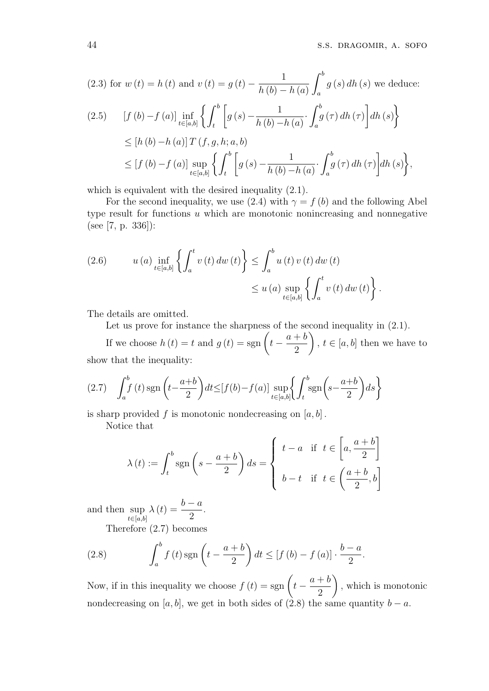(2.3) for 
$$
w(t) = h(t)
$$
 and  $v(t) = g(t) - \frac{1}{h(b) - h(a)} \int_a^b g(s) dh(s)$  we deduce:  
\n(2.5) 
$$
[f(b) - f(a)] \inf_{t \in [a,b]} \left\{ \int_t^b \left[ g(s) - \frac{1}{h(b) - h(a)} \cdot \int_a^b g(\tau) dh(\tau) \right] dh(s) \right\}
$$
\n
$$
\leq [h(b) - h(a)] T(f, g, h; a, b)
$$
\n
$$
\leq [f(b) - f(a)] \sup_{t \in [a,b]} \left\{ \int_t^b \left[ g(s) - \frac{1}{h(b) - h(a)} \cdot \int_a^b g(\tau) dh(\tau) \right] dh(s) \right\},
$$

which is equivalent with the desired inequality  $(2.1)$ .

For the second inequality, we use (2.4) with  $\gamma = f(b)$  and the following Abel type result for functions u which are monotonic nonincreasing and nonnegative (see [7, p. 336]):

(2.6) 
$$
u(a) \inf_{t \in [a,b]} \left\{ \int_a^t v(t) \, dw(t) \right\} \leq \int_a^b u(t) \, v(t) \, dw(t) \leq u(a) \sup_{t \in [a,b]} \left\{ \int_a^t v(t) \, dw(t) \right\}.
$$

The details are omitted.

Let us prove for instance the sharpness of the second inequality in  $(2.1)$ .

Let us prove for instance the sharpness of<br>
If we choose  $h(t) = t$  and  $g(t) = sgn(t$  $a + b$ 2 ,  $t \in [a, b]$  then we have to show that the inequality:

$$
(2.7) \quad \int_a^b f(t) \operatorname{sgn}\left(t - \frac{a+b}{2}\right) dt \leq \left[f(b) - f(a)\right] \sup_{t \in [a,b]} \left\{ \int_t^b \operatorname{sgn}\left(s - \frac{a+b}{2}\right) ds \right\}
$$

is sharp provided f is monotonic nondecreasing on  $[a, b]$ .

Notice that

$$
\lambda(t) := \int_t^b \text{sgn}\left(s - \frac{a+b}{2}\right) ds = \begin{cases} t-a & \text{if } t \in \left[a, \frac{a+b}{2}\right] \\ b-t & \text{if } t \in \left(\frac{a+b}{2}, b\right] \end{cases}
$$

and then sup  $t \in [a,b]$  $\lambda(t) = \frac{b-a}{2}$ 2 .

Therefore (2.7) becomes

(2.8) 
$$
\int_a^b f(t) \operatorname{sgn}\left(t - \frac{a+b}{2}\right) dt \leq \left[f(b) - f(a)\right] \cdot \frac{b-a}{2}.
$$

Now, if in this inequality we choose  $f(t) = sgn(t$  $a + b$ 2 , which is monotonic nondecreasing on [a, b], we get in both sides of (2.8) the same quantity  $b - a$ .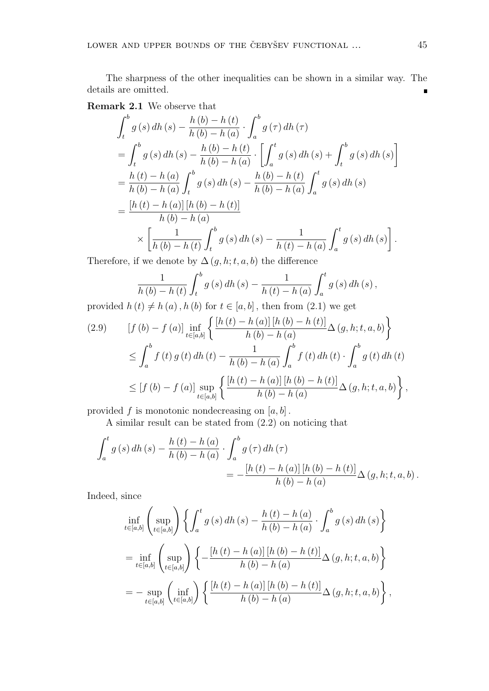The sharpness of the other inequalities can be shown in a similar way. The details are omitted.  $\blacksquare$ 

 $\overline{a}$ 

## Remark 2.1 We observe that

$$
\int_{t}^{b} g(s) dh(s) - \frac{h(b) - h(t)}{h(b) - h(a)} \cdot \int_{a}^{b} g(\tau) dh(\tau)
$$
  
= 
$$
\int_{t}^{b} g(s) dh(s) - \frac{h(b) - h(t)}{h(b) - h(a)} \cdot \left[ \int_{a}^{t} g(s) dh(s) + \int_{t}^{b} g(s) dh(s) \right]
$$
  
= 
$$
\frac{h(t) - h(a)}{h(b) - h(a)} \int_{t}^{b} g(s) dh(s) - \frac{h(b) - h(t)}{h(b) - h(a)} \int_{a}^{t} g(s) dh(s)
$$
  
= 
$$
\frac{[h(t) - h(a)][h(b) - h(t)]}{h(b) - h(a)}
$$
  

$$
\times \left[ \frac{1}{h(b) - h(t)} \int_{t}^{b} g(s) dh(s) - \frac{1}{h(t) - h(a)} \int_{a}^{t} g(s) dh(s) \right].
$$

Therefore, if we denote by  $\Delta(q, h; t, a, b)$  the difference

$$
\frac{1}{h(b) - h(t)} \int_{t}^{b} g(s) dh(s) - \frac{1}{h(t) - h(a)} \int_{a}^{t} g(s) dh(s),
$$
\n
$$
\frac{1}{h(b) - h(b)} \int_{b(b)}^{b} h(t) dm(t) ds + \frac{1}{h(b)} \int_{a}^{b} g(s) dh(s) ds
$$

provided  $h(t) \neq h(a)$ ,  $h(b)$  for  $t \in [a, b]$ , then from  $(2.1)$  we get ½

$$
(2.9) \quad [f (b) - f (a)] \inf_{t \in [a,b]} \left\{ \frac{[h (t) - h (a)] [h (b) - h (t)]}{h (b) - h (a)} \Delta (g, h; t, a, b) \right\}
$$
  

$$
\leq \int_a^b f (t) g (t) dh (t) - \frac{1}{h (b) - h (a)} \int_a^b f (t) dh (t) \cdot \int_a^b g (t) dh (t)
$$
  

$$
\leq [f (b) - f (a)] \sup_{t \in [a,b]} \left\{ \frac{[h (t) - h (a)] [h (b) - h (t)]}{h (b) - h (a)} \Delta (g, h; t, a, b) \right\},
$$

provided f is monotonic nondecreasing on  $[a, b]$ .

A similar result can be stated from (2.2) on noticing that

$$
\int_{a}^{t} g(s) dh(s) - \frac{h(t) - h(a)}{h(b) - h(a)} \cdot \int_{a}^{b} g(\tau) dh(\tau) \n= -\frac{[h(t) - h(a)] [h(b) - h(t)]}{h(b) - h(a)} \Delta(g, h; t, a, b).
$$

Indeed, since

$$
\inf_{t \in [a,b]} \left( \sup_{t \in [a,b]} \right) \left\{ \int_a^t g(s) \, dh \left( s \right) - \frac{h(t) - h(a)}{h(b) - h(a)} \cdot \int_a^b g(s) \, dh \left( s \right) \right\}
$$
\n
$$
= \inf_{t \in [a,b]} \left( \sup_{t \in [a,b]} \right) \left\{ - \frac{\left[ h(t) - h(a) \right] \left[ h(b) - h(t) \right]}{h(b) - h(a)} \Delta(g, h; t, a, b) \right\}
$$
\n
$$
= - \sup_{t \in [a,b]} \left( \inf_{t \in [a,b]} \right) \left\{ \frac{\left[ h(t) - h(a) \right] \left[ h(b) - h(t) \right]}{h(b) - h(a)} \Delta(g, h; t, a, b) \right\},
$$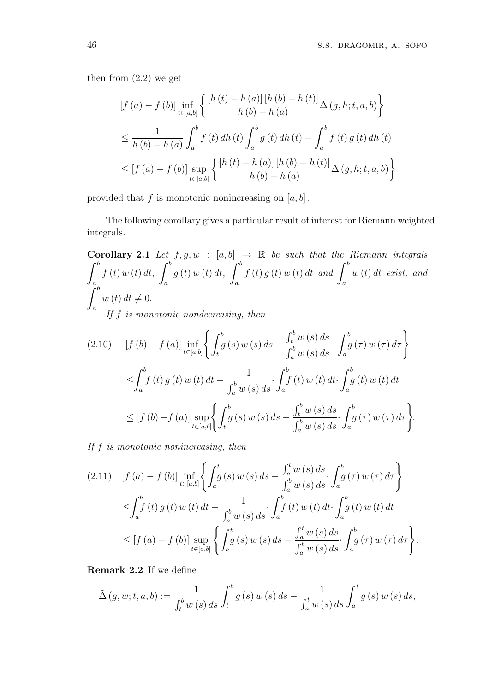then from (2.2) we get

$$
[f (a) - f (b)] \inf_{t \in [a,b]} \left\{ \frac{[h (t) - h (a)] [h (b) - h (t)]}{h (b) - h (a)} \Delta (g, h; t, a, b) \right\}
$$
  

$$
\leq \frac{1}{h (b) - h (a)} \int_{a}^{b} f (t) dh (t) \int_{a}^{b} g (t) dh (t) - \int_{a}^{b} f (t) g (t) dh (t)
$$
  

$$
\leq [f (a) - f (b)] \sup_{t \in [a,b]} \left\{ \frac{[h (t) - h (a)] [h (b) - h (t)]}{h (b) - h (a)} \Delta (g, h; t, a, b) \right\}
$$

provided that f is monotonic nonincreasing on  $[a, b]$ .

The following corollary gives a particular result of interest for Riemann weighted integrals.

**Corollary 2.1** Let  $f, g, w : [a, b] \rightarrow \mathbb{R}$  be such that the Riemann integrals a f (t) w (t) dt,  $\int_0^b$ a  $\begin{array}{cc} g\left(t\right)w\left(t\right)dt, \ g\left(t\right)w\left(t\right)dt, \end{array}$ a  $f(t) g(t) w(t) dt$  and  $\int^b$ a w (t) dt exist, and  $J_{a}$ <sub>rb</sub> a  $w(t) dt \neq 0.$ If f is monotonic nondecreasing, then

$$
(2.10) \quad [f (b) - f (a)] \inf_{t \in [a,b]} \left\{ \int_t^b g(s) \, w \left(s\right) ds - \frac{\int_t^b w \left(s\right) ds}{\int_a^b w \left(s\right) ds} \cdot \int_a^b g \left(\tau\right) w \left(\tau\right) d\tau \right\}
$$
\n
$$
\leq \int_a^b f(t) \, g \left(t\right) w \left(t\right) dt - \frac{1}{\int_a^b w \left(s\right) ds} \cdot \int_a^b f(t) \, w \left(t\right) dt \cdot \int_a^b g \left(t\right) w \left(t\right) dt
$$
\n
$$
\leq [f (b) - f (a)] \sup_{t \in [a,b]} \left\{ \int_t^b g \left(s\right) w \left(s\right) ds - \frac{\int_t^b w \left(s\right) ds}{\int_a^b w \left(s\right) ds} \cdot \int_a^b g \left(\tau\right) w \left(\tau\right) d\tau \right\}.
$$

If f is monotonic nonincreasing, then

$$
(2.11) \quad [f (a) - f (b)] \inf_{t \in [a,b]} \left\{ \int_a^t g(s) \, w \left(s\right) ds - \frac{\int_a^t w \left(s\right) ds}{\int_a^b w \left(s\right) ds} \cdot \int_a^b g(\tau) \, w \left(\tau\right) d\tau \right\}
$$
\n
$$
\leq \int_a^b f(t) \, g(t) \, w \left(t\right) dt - \frac{1}{\int_a^b w \left(s\right) ds} \cdot \int_a^b f(t) \, w \left(t\right) dt \cdot \int_a^b g(t) \, w \left(t\right) dt
$$
\n
$$
\leq [f (a) - f (b)] \sup_{t \in [a,b]} \left\{ \int_a^t g(s) \, w \left(s\right) ds - \frac{\int_a^t w \left(s\right) ds}{\int_a^b w \left(s\right) ds} \cdot \int_a^b g(\tau) \, w \left(\tau\right) d\tau \right\}.
$$

Remark 2.2 If we define

$$
\tilde{\Delta}(g, w; t, a, b) := \frac{1}{\int_{t}^{b} w(s) \, ds} \int_{t}^{b} g(s) w(s) \, ds - \frac{1}{\int_{a}^{t} w(s) \, ds} \int_{a}^{t} g(s) w(s) \, ds,
$$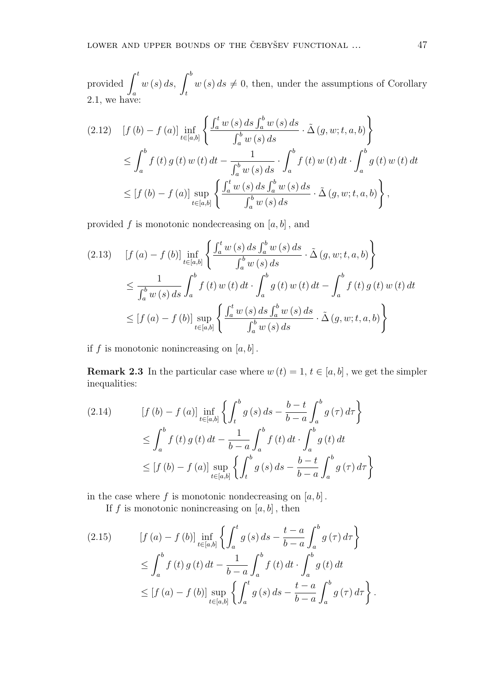provided  $\int_0^t$ a  $w(s) ds, \int_0^b$ t  $w(s) ds \neq 0$ , then, under the assumptions of Corollary 2.1, we have:

$$
(2.12) \quad [f (b) - f (a)] \inf_{t \in [a,b]} \left\{ \frac{\int_a^t w (s) ds \int_a^b w (s) ds}{\int_a^b w (s) ds} \cdot \tilde{\Delta} (g, w; t, a, b) \right\}
$$
  

$$
\leq \int_a^b f (t) g (t) w (t) dt - \frac{1}{\int_a^b w (s) ds} \cdot \int_a^b f (t) w (t) dt \cdot \int_a^b g (t) w (t) dt
$$
  

$$
\leq [f (b) - f (a)] \sup_{t \in [a,b]} \left\{ \frac{\int_a^t w (s) ds \int_a^b w (s) ds}{\int_a^b w (s) ds} \cdot \tilde{\Delta} (g, w; t, a, b) \right\},
$$

provided f is monotonic nondecreasing on  $[a, b]$ , and

$$
(2.13) \quad [f (a) - f (b)] \inf_{t \in [a,b]} \left\{ \frac{\int_a^t w (s) ds \int_a^b w (s) ds}{\int_a^b w (s) ds} \cdot \tilde{\Delta} (g, w; t, a, b) \right\}
$$
  

$$
\leq \frac{1}{\int_a^b w (s) ds} \int_a^b f (t) w (t) dt \cdot \int_a^b g (t) w (t) dt - \int_a^b f (t) g (t) w (t) dt
$$
  

$$
\leq [f (a) - f (b)] \sup_{t \in [a,b]} \left\{ \frac{\int_a^t w (s) ds \int_a^b w (s) ds}{\int_a^b w (s) ds} \cdot \tilde{\Delta} (g, w; t, a, b) \right\}
$$

if f is monotonic nonincreasing on  $[a, b]$ .

**Remark 2.3** In the particular case where  $w(t) = 1, t \in [a, b]$ , we get the simpler inequalities:

$$
(2.14) \qquad [f (b) - f (a)] \inf_{t \in [a,b]} \left\{ \int_t^b g (s) ds - \frac{b - t}{b - a} \int_a^b g (\tau) d\tau \right\}
$$
  

$$
\leq \int_a^b f (t) g (t) dt - \frac{1}{b - a} \int_a^b f (t) dt \cdot \int_a^b g (t) dt
$$
  

$$
\leq [f (b) - f (a)] \sup_{t \in [a,b]} \left\{ \int_t^b g (s) ds - \frac{b - t}{b - a} \int_a^b g (\tau) d\tau \right\}
$$

in the case where  $f$  is monotonic nondecreasing on  $[a, b]$ .

If f is monotonic nonincreasing on  $[a, b]$ , then

$$
(2.15) \t\t [f (a) - f (b)] \inf_{t \in [a,b]} \left\{ \int_a^t g(s) ds - \frac{t-a}{b-a} \int_a^b g(\tau) d\tau \right\}
$$
  

$$
\leq \int_a^b f(t) g(t) dt - \frac{1}{b-a} \int_a^b f(t) dt \cdot \int_a^b g(t) dt
$$
  

$$
\leq [f (a) - f (b)] \sup_{t \in [a,b]} \left\{ \int_a^t g(s) ds - \frac{t-a}{b-a} \int_a^b g(\tau) d\tau \right\}.
$$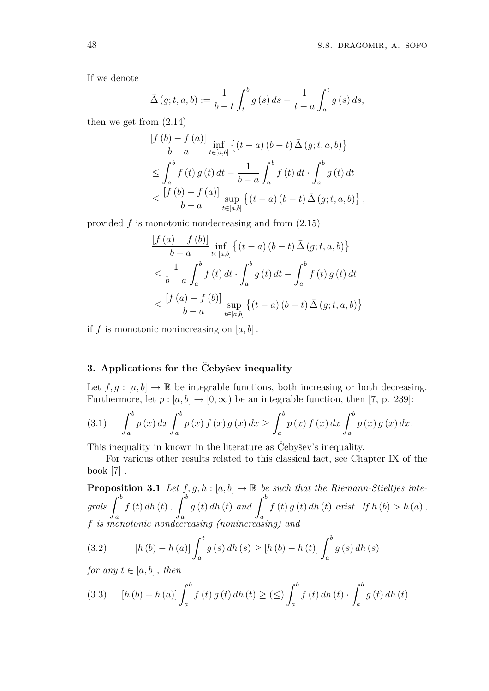If we denote

$$
\bar{\Delta}(g; t, a, b) := \frac{1}{b - t} \int_{t}^{b} g(s) \, ds - \frac{1}{t - a} \int_{a}^{t} g(s) \, ds,
$$

then we get from (2.14)

$$
\frac{\left[f\left(b\right)-f\left(a\right)\right]}{b-a}\inf_{t\in[a,b]}\left\{(t-a)\left(b-t\right)\bar{\Delta}\left(g;t,a,b\right)\right\}
$$
\n
$$
\leq \int_{a}^{b} f\left(t\right)g\left(t\right)dt - \frac{1}{b-a}\int_{a}^{b} f\left(t\right)dt \cdot \int_{a}^{b} g\left(t\right)dt
$$
\n
$$
\leq \frac{\left[f\left(b\right)-f\left(a\right)\right]}{b-a}\sup_{t\in[a,b]}\left\{(t-a)\left(b-t\right)\bar{\Delta}\left(g;t,a,b\right)\right\},
$$

provided  $f$  is monotonic nondecreasing and from  $(2.15)$ 

$$
\frac{[f(a) - f(b)]}{b - a} \inf_{t \in [a,b]} \left\{ (t - a) (b - t) \bar{\Delta} (g; t, a, b) \right\}
$$
  
\n
$$
\leq \frac{1}{b - a} \int_{a}^{b} f(t) dt \cdot \int_{a}^{b} g(t) dt - \int_{a}^{b} f(t) g(t) dt
$$
  
\n
$$
\leq \frac{[f(a) - f(b)]}{b - a} \sup_{t \in [a,b]} \left\{ (t - a) (b - t) \bar{\Delta} (g; t, a, b) \right\}
$$

if f is monotonic nonincreasing on  $[a, b]$ .

### 3. Applications for the Čebyšev inequality

Let  $f, g : [a, b] \to \mathbb{R}$  be integrable functions, both increasing or both decreasing. Furthermore, let  $p : [a, b] \rightarrow [0, \infty)$  be an integrable function, then [7, p. 239]:

(3.1) 
$$
\int_{a}^{b} p(x) dx \int_{a}^{b} p(x) f(x) g(x) dx \ge \int_{a}^{b} p(x) f(x) dx \int_{a}^{b} p(x) g(x) dx.
$$

This inequality in known in the literature as Cebysev's inequality.

For various other results related to this classical fact, see Chapter IX of the book [7] .

**Proposition 3.1** Let  $f, g, h : [a, b] \to \mathbb{R}$  be such that the Riemann-Stieltjes inte-<br>grals  $\int_{a}^{b} f(t) dt$  (t),  $\int_{a}^{b} g(t) dt$  (t) and  $\int_{a}^{b} f(t) g(t) dt$  (t) exist. If  $h(b) > h(a)$ , a  $f(t) dh(t)$ ,  $\frac{d}{d}$ a  $g, n : [a, b] \rightarrow \mathbb{R}$  be<br> $g(t) dh(t) and \int^b$ a  $f(t) g(t) dh(t) e xist.$  If  $h(b) > h(a)$ , f is monotonic nondecreasing (nonincreasing) and

(3.2) 
$$
[h (b) - h (a)] \int_{a}^{t} g (s) dh (s) \geq [h (b) - h (t)] \int_{a}^{b} g (s) dh (s)
$$

for any  $t \in [a, b]$ , then

(3.3) 
$$
[h (b) - h (a)] \int_a^b f (t) g (t) dh (t) \geq ( \leq ) \int_a^b f (t) dh (t) \cdot \int_a^b g (t) dh (t).
$$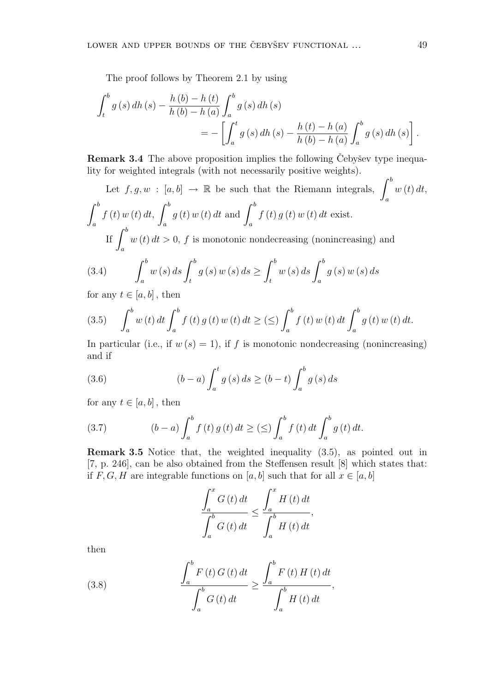The proof follows by Theorem 2.1 by using

$$
\int_{t}^{b} g(s) dh(s) - \frac{h(b) - h(t)}{h(b) - h(a)} \int_{a}^{b} g(s) dh(s)
$$
  
= 
$$
- \left[ \int_{a}^{t} g(s) dh(s) - \frac{h(t) - h(a)}{h(b) - h(a)} \int_{a}^{b} g(s) dh(s) \right].
$$

**Remark 3.4** The above proposition implies the following Čebyšev type inequa-

lity for weighted integrals (with not necessarily positive weights).

\nLet 
$$
f, g, w : [a, b] \to \mathbb{R}
$$
 be such that the Riemann integrals,  $\int_a^b w(t) \, dt$ ,  $\int_a^b f(t) \, w(t) \, dt$ ,  $\int_a^b g(t) \, w(t) \, dt$  and  $\int_a^b f(t) \, g(t) \, w(t) \, dt$  exist.

\nIf  $\int_a^b w(t) \, dt > 0$ ,  $f$  is monotonic nondecreasing (nonincreasing) and

(3.4) 
$$
\int_{a}^{b} w(s) ds \int_{t}^{b} g(s) w(s) ds \ge \int_{t}^{b} w(s) ds \int_{a}^{b} g(s) w(s) ds
$$

for any  $t \in [a, b]$ , then

(3.5) 
$$
\int_{a}^{b} w(t) dt \int_{a}^{b} f(t) g(t) w(t) dt \geq (\leq) \int_{a}^{b} f(t) w(t) dt \int_{a}^{b} g(t) w(t) dt.
$$

In particular (i.e., if  $w(s) = 1$ ), if f is monotonic nondecreasing (nonincreasing) and if

(3.6) 
$$
(b-a) \int_{a}^{t} g(s) ds \ge (b-t) \int_{a}^{b} g(s) ds
$$

for any  $t \in [a, b]$ , then

(3.7) 
$$
(b-a) \int_{a}^{b} f(t) g(t) dt \geq (\leq) \int_{a}^{b} f(t) dt \int_{a}^{b} g(t) dt.
$$

Remark 3.5 Notice that, the weighted inequality (3.5), as pointed out in [7, p. 246], can be also obtained from the Steffensen result [8] which states that: if F, G, H are integrable functions on [a, b] such that for all  $x \in [a, b]$ 

$$
\frac{\int_{a}^{x} G\left(t\right) dt}{\int_{a}^{b} G\left(t\right) dt} \leq \frac{\int_{a}^{x} H\left(t\right) dt}{\int_{a}^{b} H\left(t\right) dt},
$$

then

(3.8) 
$$
\frac{\int_{a}^{b} F(t) G(t) dt}{\int_{a}^{b} G(t) dt} \geq \frac{\int_{a}^{b} F(t) H(t) dt}{\int_{a}^{b} H(t) dt},
$$